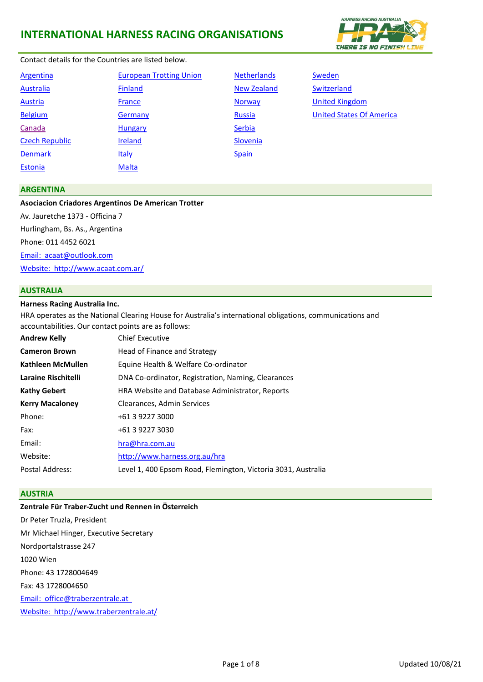

## Contact details for the Countries are listed below.

| Argentina             | <b>European Trotting Union</b> | <b>Nethe</b>  |
|-----------------------|--------------------------------|---------------|
| <b>Australia</b>      | <b>Finland</b>                 | New Z         |
| <b>Austria</b>        | France                         | <b>Norwa</b>  |
| <b>Belgium</b>        | Germany                        | <b>Russia</b> |
| Canada                | <b>Hungary</b>                 | Serbia        |
| <b>Czech Republic</b> | <b>Ireland</b>                 | Slover        |
| <b>Denmark</b>        | <b>Italy</b>                   | <b>Spain</b>  |
| <b>Estonia</b>        | <b>Malta</b>                   |               |
|                       |                                |               |

**Propean Trotting Union [Netherlands](#page-4-0)** [Sweden](#page-6-0) **Calculate Republic [Ireland](#page-3-2) [Slovenia](#page-5-2)** 

[Australia](#page-0-1) [Finland](#page-2-1) [New Zealand](#page-4-1) [Switzerland](#page-6-1) **[Austria](#page-0-2) [France](#page-2-2) Inc. Contract Contract [Norway](#page-4-2) [United Kingdom](#page-6-2) BELGIUM GERMANY RUSSIA** CONTROLLER ENGINEERING CONTROLLER ENGINEERING CONTROLLER ENGINEERING CONTROLLER ENGINEERING CONTROLLER ENGINEERING CONTROLLER ENGINEERING CONTROLLER ENGINEERING CONTROLLER ENGINEERING CONTROLLER EN

### <span id="page-0-0"></span>**ARGENTINA**

#### **Asociacion Criadores Argentinos De American Trotter**

Av. Jauretche 1373 - Officina 7 Hurlingham, Bs. As., Argentina Phone: 011 4452 6021 [Email: acaat@outlook.com](mailto:acaat@outlook.com) Website: <http://www.acaat.com.ar/>

#### <span id="page-0-1"></span>**AUSTRALIA**

#### **Harness Racing Australia Inc.**

**Andrew Kelly** HRA operates as the National Clearing House for Australia's international obligations, communications and accountabilities. Our contact points are as follows: Chief Executive

| <b>Cameron Brown</b>   | Head of Finance and Strategy                                  |
|------------------------|---------------------------------------------------------------|
| Kathleen McMullen      | Equine Health & Welfare Co-ordinator                          |
| Laraine Rischitelli    | DNA Co-ordinator, Registration, Naming, Clearances            |
| Kathy Gebert           | HRA Website and Database Administrator, Reports               |
| <b>Kerry Macaloney</b> | Clearances, Admin Services                                    |
| Phone:                 | +61 3 9227 3000                                               |
| Fax:                   | +61 3 9227 3030                                               |
| Email:                 | hra@hra.com.au                                                |
| Website:               | http://www.harness.org.au/hra                                 |
| Postal Address:        | Level 1, 400 Epsom Road, Flemington, Victoria 3031, Australia |

#### <span id="page-0-2"></span>**AUSTRIA**

# **Zentrale Für Traber-Zucht und Rennen in Österreich**

Dr Peter Truzla, President Mr Michael Hinger, Executive Secretary Nordportalstrasse 247 1020 Wien Phone: 43 1728004649 Fax: 43 1728004650 [Email: office@traberzentrale.at](mailto:office@traberzentrale.at) [Website: http://www.traberzentrale.at/](http://www.traberzentrale.at/)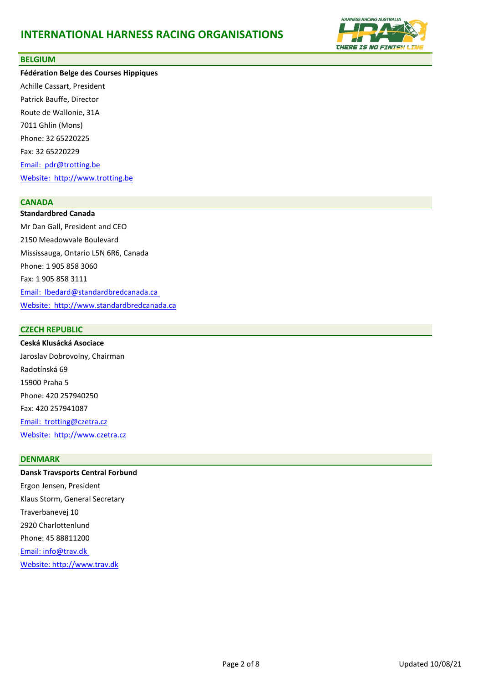

### <span id="page-1-0"></span>**BELGIUM**

**Fédération Belge des Courses Hippiques** Achille Cassart, President Patrick Bauffe, Director Route de Wallonie, 31A 7011 Ghlin (Mons) Phone: 32 65220225 Fax: 32 65220229 Email: [pdr@trotting.be](mailto:pdr@trotting.be) Website: [http://www.trotting.be](http://www.trotting.be/)

### <span id="page-1-1"></span>**CANADA**

**Standardbred Canada** Mr Dan Gall, President and CEO 2150 Meadowvale Boulevard Mississauga, Ontario L5N 6R6, Canada Phone: 1 905 858 3060 Fax: 1 905 858 3111 [Email: lbedard@standardbre](mailto:lbedard@standardbredcanada.ca)dcanada.ca [Website: http://www.standa](http://www.standardbredcanada.ca/)rdbredcanada.ca

## <span id="page-1-2"></span>**CZECH REPUBLIC**

**Ceská Klusácká Asociace** Jaroslav Dobrovolny, Chairman Radotínská 69 15900 Praha 5 Phone: 420 257940250 Fax: 420 257941087 [Email: trotting@czetra.cz](mailto:trotting@czetra.cz) Website: [http://www.czetra.cz](http://www.czetra.cz/)

#### <span id="page-1-3"></span>**DENMARK**

**Dansk Travsports Central Forbund** Ergon Jensen, President Klaus Storm, General Secretary Traverbanevej 10 2920 Charlottenlund Phone: 45 88811200 [Email: info@trav.dk](mailto:storm.dtc@trav.dk) [Website: http://www.trav.dk](http://www.trav.dk/)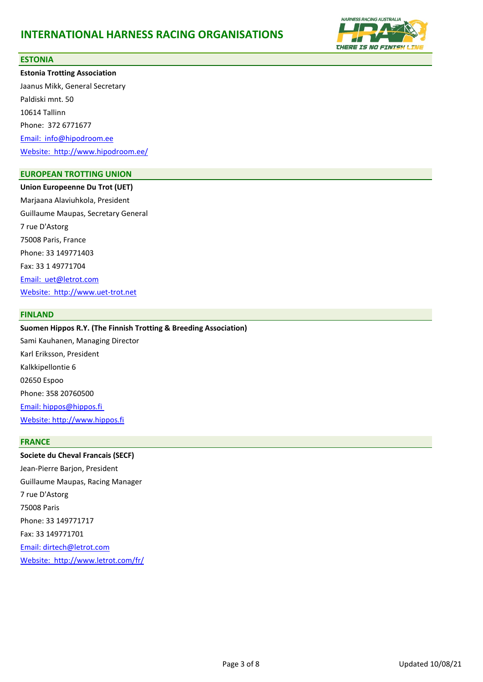

#### <span id="page-2-3"></span>**ESTONIA**

**Estonia Trotting Association** Jaanus Mikk, General Secretary Paldiski mnt. 50 10614 Tallinn Phone: 372 6771677 Email: [info@hipodroom.ee](mailto:info@hipodroom.ee) Website: <http://www.hipodroom.ee/>

## <span id="page-2-0"></span>**EUROPEAN TROTTING UNION**

**Union Europeenne Du Trot (UET)** Marjaana Alaviuhkola, President Guillaume Maupas, Secretary General 7 rue D'Astorg 75008 Paris, France Phone: 33 149771403 Fax: 33 1 49771704 Email: [uet@letrot.com](mailto:uet@secf.asso.fr) Website: [http://www.uet-trot.net](http://www.uet-trot.net/)

#### <span id="page-2-1"></span>**FINLAND**

## **Suomen Hippos R.Y. (The Finnish Trotting & Breeding Association)**

Sami Kauhanen, Managing Director Karl Eriksson, President Kalkkipellontie 6 02650 Espoo Phone: 358 20760500 [Email: hippos@hippos.fi](mailto:hippos@hippos.fi) [Website: http://www.hippos.fi](http://www.hippos.fi/)

### <span id="page-2-2"></span>**FRANCE**

**Societe du Cheval Francais (SECF)** Jean-Pierre Barjon, President Guillaume Maupas, Racing Manager 7 rue D'Astorg 75008 Paris Phone: 33 149771717 Fax: 33 149771701 [Email: dirtech@letrot.com](mailto:dirtech@letrot.com) [Website: http://www.letrot.com/fr/](http://www.letrot.com/fr/)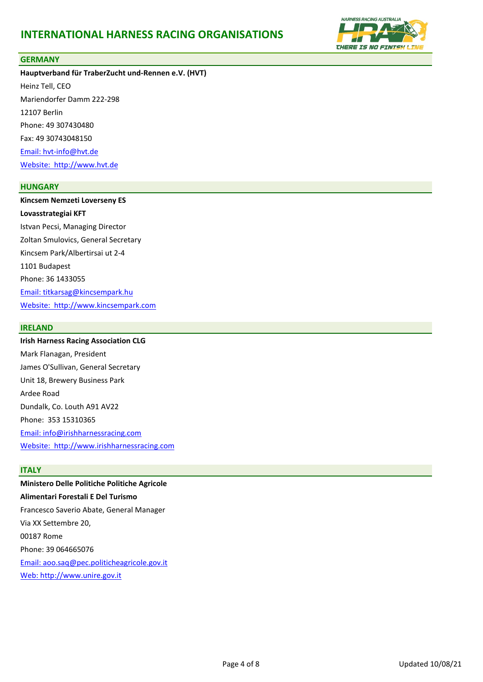

#### <span id="page-3-0"></span>**GERMANY**

**Hauptverband für TraberZucht und-Rennen e.V. (HVT)** Heinz Tell, CEO Mariendorfer Damm 222-298 12107 Berlin Phone: 49 307430480 Fax: 49 30743048150 [Email: hvt-info@hvt.de](mailto:hvt-info@hvt.de) Website: [http://www.hvt.de](http://www.hvt.de/)

#### <span id="page-3-1"></span>**HUNGARY**

**Kincsem Nemzeti Loverseny ES Lovasstrategiai KFT** Istvan Pecsi, Managing Director Zoltan Smulovics, General Secretary Kincsem Park/Albertirsai ut 2-4 1101 Budapest Phone: 36 1433055 [Email: titkarsag@kincsempark.hu](mailto:info@kincsempark.hu) Website: [http://www.kincsempark.com](http://www.kincsempark.com/)

#### <span id="page-3-2"></span>**IRELAND**

**Irish Harness Racing Association CLG**

Mark Flanagan, President James O'Sullivan, General Secretary Unit 18, Brewery Business Park Ardee Road Dundalk, Co. Louth A91 AV22 Phone: 353 15310365 [Email: info@irishharnessracing.com](mailto:Email:%20info@irishharnessracing.com) Website: [http://www.irishharnessracing.com](http://www.irishharnessracing.com/)

#### <span id="page-3-3"></span>**ITALY**

**Ministero Delle Politiche Politiche Agricole Alimentari Forestali E Del Turismo** Francesco Saverio Abate, General Manager Via XX Settembre 20, 00187 Rome Phone: 39 064665076 [Email: aoo.saq@pec.politicheagricole.gov.it](mailto:unire@unire.it) [Web: http://www.unire.gov.it](http://www.unire.it/)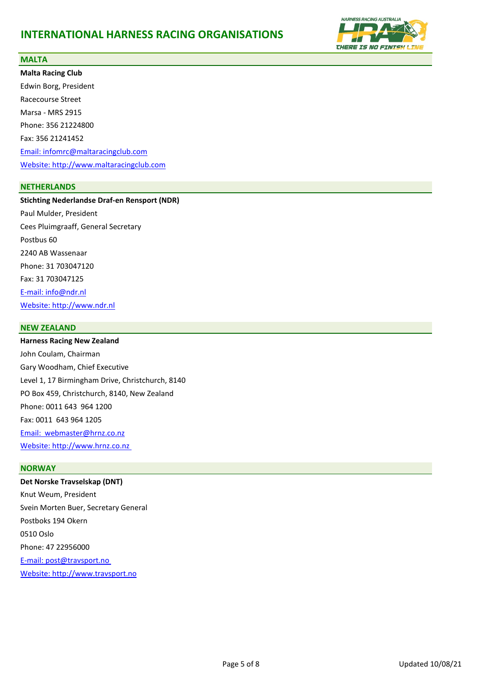

### <span id="page-4-3"></span>**MALTA**

**Malta Racing Club** Edwin Borg, President Racecourse Street Marsa - MRS 2915 Phone: 356 21224800 Fax: 356 21241452 [Email: infomrc@maltaracingclub.com](mailto:%20infomrc@maltaracingclub.com) [Website: http://www.maltaracingclub.com](http://www.maltaracingclub.com/)

## <span id="page-4-0"></span>**NETHERLANDS**

**Stichting Nederlandse Draf-en Rensport (NDR)** Paul Mulder, President Cees Pluimgraaff, General Secretary Postbus 60 2240 AB Wassenaar Phone: 31 703047120 Fax: 31 703047125 [E-mail: info@ndr.nl](mailto:info@ndr.nl) [Website: http://www.ndr.nl](http://www.ndr.nl/)

## <span id="page-4-1"></span>**NEW ZEALAND**

**Harness Racing New Zealand** John Coulam, Chairman Gary Woodham, Chief Executive Level 1, 17 Birmingham Drive, Christchurch, 8140 PO Box 459, Christchurch, 8140, New Zealand Phone: 0011 643 964 1200 Fax: 0011 643 964 1205 [Email: webmaster@hrnz.co.nz](mailto:%20webmaster@hrnz.co.nz) [Website: http://www.hrnz.co.nz](http://www.hrnz.co.nz/) 

## <span id="page-4-2"></span>**NORWAY**

**Det Norske Travselskap (DNT)** Knut Weum, President Svein Morten Buer, Secretary General Postboks 194 Okern 0510 Oslo Phone: 47 22956000 [E-mail: post@travsport.no](mailto:post@travsport.no) [Website: http://www.travsport.no](http://www.travsport.no/)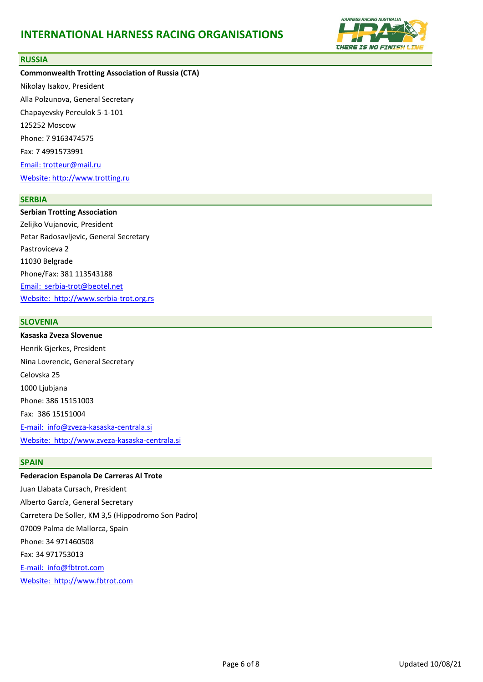

#### <span id="page-5-0"></span>**RUSSIA**

**Commonwealth Trotting Association of Russia (CTA)** Nikolay Isakov, President Alla Polzunova, General Secretary Chapayevsky Pereulok 5-1-101 125252 Moscow Phone: 7 9163474575 Fax: 7 4991573991 [Email: trotteur@mail.ru](mailto:trotteur@mail.ru) [Website: http://www.trotting.ru](http://www.trotting.ru/)

### <span id="page-5-1"></span>**SERBIA**

**Serbian Trotting Association** Zelijko Vujanovic, President Petar Radosavljevic, General Secretary Pastroviceva 2 11030 Belgrade Phone/Fax: 381 113543188 Email: [serbia-trot@beotel.net](mailto:office@serbia-trot.org.rs) Website: [http://www.serbia-trot.org.rs](http://www.serbia-trot.org.rs/)

### <span id="page-5-2"></span>**SLOVENIA**

**Kasaska Zveza Slovenue** Henrik Gjerkes, President Nina Lovrencic, General Secretary Celovska 25 1000 Ljubjana Phone: 386 15151003 Fax: 386 15151004 E-mail: [info@zveza-kasaska-centrala.si](mailto:info@zveza-kasaska-centrala.si) Website: [http://www.zveza-kasaska-centrala.si](http://www.zveza-kasaska-centrala.si/)

## <span id="page-5-3"></span>**SPAIN**

**Federacion Espanola De Carreras Al Trote** Juan Llabata Cursach, President Alberto García, General Secretary Carretera De Soller, KM 3,5 (Hippodromo Son Padro) 07009 Palma de Mallorca, Spain Phone: 34 971460508 Fax: 34 971753013 [E-mail: info@fbtrot.com](mailto:%20info@fbtrot.com) Website: [http://www.fbtrot.com](http://www.fbtrot.com/)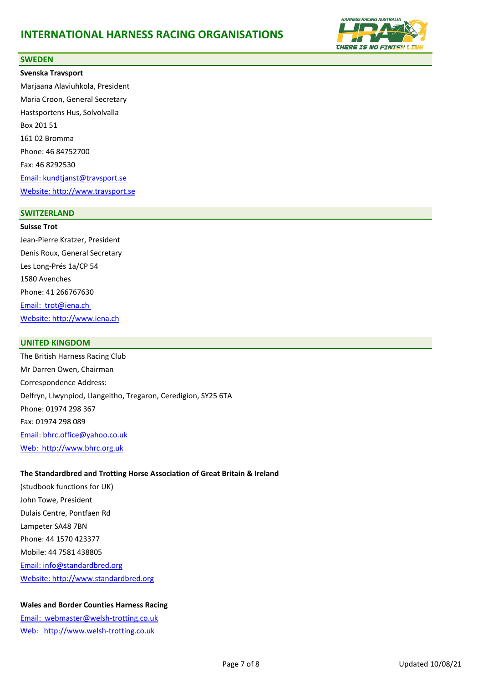

#### <span id="page-6-0"></span>**SWEDEN**

**Svenska Travsport** Marjaana Alaviuhkola, President Maria Croon, General Secretary Hastsportens Hus, Solvolvalla Box 201 51 161 02 Bromma Phone: 46 84752700 Fax: 46 8292530 [Email: kundtjanst@travsport.se](mailto:kundtjanst@travsport.se) [Website: http://www.travsport.se](http://www.travsport.se/)

#### <span id="page-6-1"></span>**SWITZERLAND**

**Suisse Trot** Jean-Pierre Kratzer, President Denis Roux, General Secretary Les Long-Prés 1a/CP 54 1580 Avenches Phone: 41 266767630 Email: [trot@iena.ch](mailto:trot@iena.ch) [Website: http://www.iena.ch](http://www.iena.ch/)

#### <span id="page-6-2"></span>**UNITED KINGDOM**

The British Harness Racing Club Mr Darren Owen, Chairman Correspondence Address: Delfryn, Llwynpiod, Llangeitho, Tregaron, Ceredigion, SY25 6TA Phone: 01974 298 367 Fax: 01974 298 089 [Email: bhrc.office@yahoo.co.uk](mailto:bhrc.office@yahoo.co.uk) Web: [http://www.bhrc.org.uk](http://www.bhrc.org.uk/)

#### **The Standardbred and Trotting Horse Association of Great Britain & Ireland**

(studbook functions for UK) John Towe, President Dulais Centre, Pontfaen Rd Lampeter SA48 7BN Phone: 44 1570 423377 Mobile: 44 7581 438805 [Email: info@standardbred.org](mailto:%20info@standardbred.org) Website: [http://www.standardbred.org](http://www.standardbred.org/)

## **Wales and Border Counties Harness Racing**

Email: [webmaster@welsh-trotting.co.uk](mailto:webmaster@welsh-trotting.co.uk) Web: [http://www.welsh-trotting.co.uk](http://www.welsh-trotting.co.uk/)